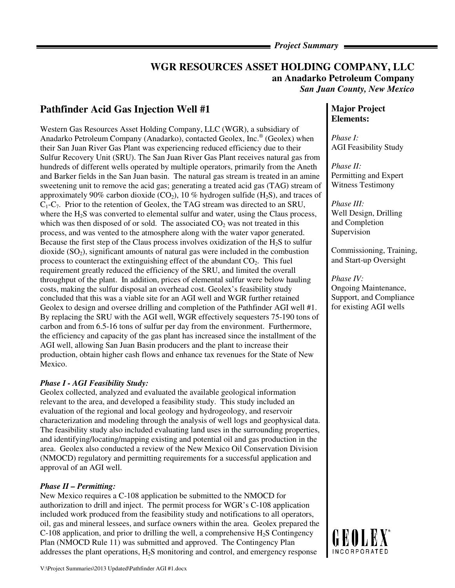*Project Summary* 

## **WGR RESOURCES ASSET HOLDING COMPANY, LLC an Anadarko Petroleum Company**  *San Juan County, New Mexico*

# **Pathfinder Acid Gas Injection Well #1**

Western Gas Resources Asset Holding Company, LLC (WGR), a subsidiary of Anadarko Petroleum Company (Anadarko), contacted Geolex, Inc.® (Geolex) when their San Juan River Gas Plant was experiencing reduced efficiency due to their Sulfur Recovery Unit (SRU). The San Juan River Gas Plant receives natural gas from hundreds of different wells operated by multiple operators, primarily from the Aneth and Barker fields in the San Juan basin. The natural gas stream is treated in an amine sweetening unit to remove the acid gas; generating a treated acid gas (TAG) stream of approximately 90% carbon dioxide  $(CO_2)$ , 10% hydrogen sulfide  $(H_2S)$ , and traces of  $C_1-C_7$ . Prior to the retention of Geolex, the TAG stream was directed to an SRU, where the  $H_2$ S was converted to elemental sulfur and water, using the Claus process, which was then disposed of or sold. The associated  $CO<sub>2</sub>$  was not treated in this process, and was vented to the atmosphere along with the water vapor generated. Because the first step of the Claus process involves oxidization of the H2S to sulfur dioxide  $(SO<sub>2</sub>)$ , significant amounts of natural gas were included in the combustion process to counteract the extinguishing effect of the abundant  $CO<sub>2</sub>$ . This fuel requirement greatly reduced the efficiency of the SRU, and limited the overall throughput of the plant. In addition, prices of elemental sulfur were below hauling costs, making the sulfur disposal an overhead cost. Geolex's feasibility study concluded that this was a viable site for an AGI well and WGR further retained Geolex to design and oversee drilling and completion of the Pathfinder AGI well #1. By replacing the SRU with the AGI well, WGR effectively sequesters 75-190 tons of carbon and from 6.5-16 tons of sulfur per day from the environment. Furthermore, the efficiency and capacity of the gas plant has increased since the installment of the AGI well, allowing San Juan Basin producers and the plant to increase their production, obtain higher cash flows and enhance tax revenues for the State of New Mexico.

### *Phase I - AGI Feasibility Study:*

Geolex collected, analyzed and evaluated the available geological information relevant to the area, and developed a feasibility study. This study included an evaluation of the regional and local geology and hydrogeology, and reservoir characterization and modeling through the analysis of well logs and geophysical data. The feasibility study also included evaluating land uses in the surrounding properties, and identifying/locating/mapping existing and potential oil and gas production in the area. Geolex also conducted a review of the New Mexico Oil Conservation Division (NMOCD) regulatory and permitting requirements for a successful application and approval of an AGI well.

## *Phase II – Permitting:*

New Mexico requires a C-108 application be submitted to the NMOCD for authorization to drill and inject. The permit process for WGR's C-108 application included work produced from the feasibility study and notifications to all operators, oil, gas and mineral lessees, and surface owners within the area. Geolex prepared the  $C-108$  application, and prior to drilling the well, a comprehensive  $H<sub>2</sub>S$  Contingency Plan (NMOCD Rule 11) was submitted and approved. The Contingency Plan addresses the plant operations, H2S monitoring and control, and emergency response

## **Major Project Elements:**

*Phase I:*  AGI Feasibility Study

*Phase II:*  Permitting and Expert Witness Testimony

*Phase III:*  Well Design, Drilling and Completion Supervision

Commissioning, Training, and Start-up Oversight

*Phase IV:*  Ongoing Maintenance, Support, and Compliance for existing AGI wells